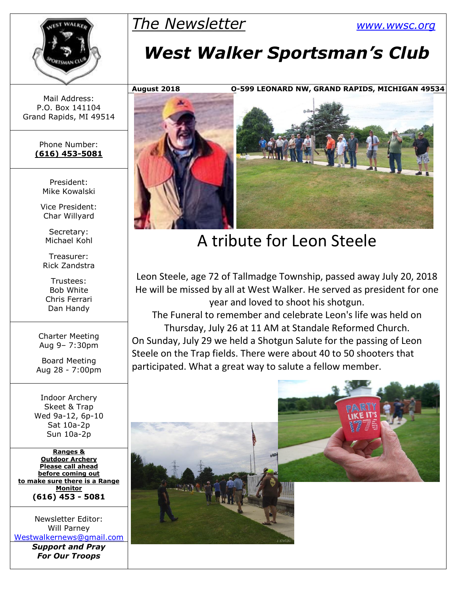## *The Newsletter [www.wwsc.org](http://www.wwsc.org/)*



Mail Address: P.O. Box 141104 Grand Rapids, MI 49514

> Phone Number: **(616) 453-5081**

> > President: Mike Kowalski

Vice President: Char Willyard

Secretary: Michael Kohl

Treasurer: Rick Zandstra

Trustees: Bob White Chris Ferrari Dan Handy

Charter Meeting Aug 9– 7:30pm

Board Meeting Aug 28 - 7:00pm

Indoor Archery Skeet & Trap Wed 9a-12, 6p-10 Sat 10a-2p Sun 10a-2p

**Ranges & Outdoor Archery Please call ahead before coming out to make sure there is a Range Monitor (616) 453 - 5081**

Newsletter Editor: Will Parney [Westwalkernews@gmail.com](mailto:Westwalkernews@gmail.com) *Support and Pray*

*For Our Troops*

# *West Walker Sportsman's Club*

**August 2018 O-599 LEONARD NW, GRAND RAPIDS, MICHIGAN 49534**



## A tribute for Leon Steele

Leon Steele, age 72 of Tallmadge Township, passed away July 20, 2018 He will be missed by all at West Walker. He served as president for one year and loved to shoot his shotgun.

The Funeral to remember and celebrate Leon's life was held on Thursday, July 26 at 11 AM at Standale Reformed Church. On Sunday, July 29 we held a Shotgun Salute for the passing of Leon Steele on the Trap fields. There were about 40 to 50 shooters that participated. What a great way to salute a fellow member.

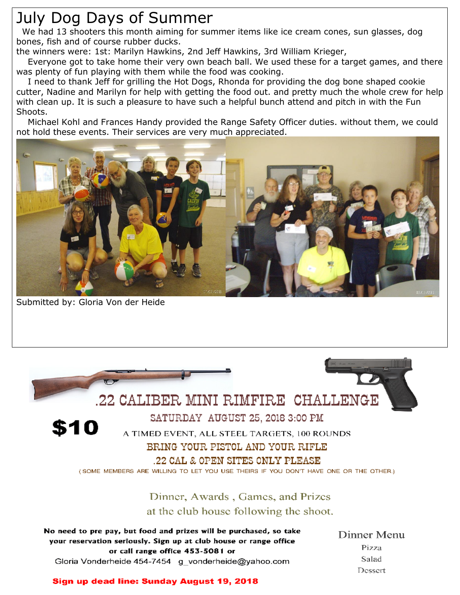## July Dog Days of Summer

We had 13 shooters this month aiming for summer items like ice cream cones, sun glasses, dog bones, fish and of course rubber ducks.

the winners were: 1st: Marilyn Hawkins, 2nd Jeff Hawkins, 3rd William Krieger,

 Everyone got to take home their very own beach ball. We used these for a target games, and there was plenty of fun playing with them while the food was cooking.

 I need to thank Jeff for grilling the Hot Dogs, Rhonda for providing the dog bone shaped cookie cutter, Nadine and Marilyn for help with getting the food out. and pretty much the whole crew for help with clean up. It is such a pleasure to have such a helpful bunch attend and pitch in with the Fun Shoots.

 Michael Kohl and Frances Handy provided the Range Safety Officer duties. without them, we could not hold these events. Their services are very much appreciated.



Submitted by: Gloria Von der Heide



#### BRING YOUR PISTOL AND YOUR RIFLE

#### .22 CAL & OPEN SITES ONLY PLEASE

(SOME MEMBERS ARE WILLING TO LET YOU USE THEIRS IF YOU DON'T HAVE ONE OR THE OTHER.)

#### Dinner, Awards, Games, and Prizes at the club house following the shoot.

| No need to pre pay, but food and prizes will be purchased, so take                                    | Dinner Menu |  |
|-------------------------------------------------------------------------------------------------------|-------------|--|
| your reservation seriously. Sign up at club house or range office<br>or call range office 453-5081 or | Pizza       |  |
| Gloria Vonderheide 454-7454 g vonderheide@yahoo.com                                                   | Salad       |  |
|                                                                                                       | Dessert     |  |

#### Sign up dead line: Sunday August 19, 2018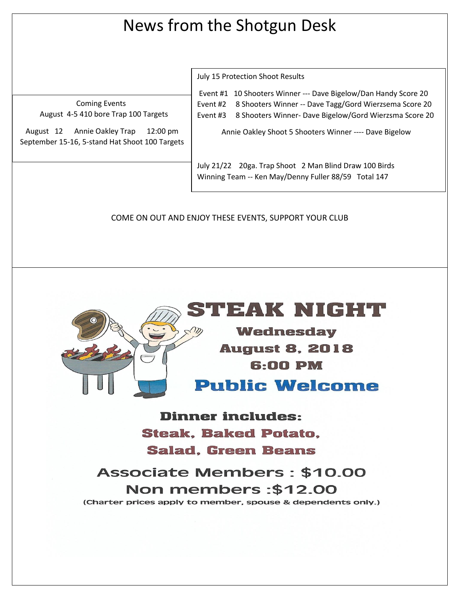## News from the Shotgun Desk

Coming Events August 4-5 410 bore Trap 100 Targets

August 12 Annie Oakley Trap 12:00 pm September 15-16, 5-stand Hat Shoot 100 Targets July 15 Protection Shoot Results

Event #1 10 Shooters Winner --- Dave Bigelow/Dan Handy Score 20 Event #2 8 Shooters Winner -- Dave Tagg/Gord Wierzsema Score 20 Event #3 8 Shooters Winner- Dave Bigelow/Gord Wierzsma Score 20

Annie Oakley Shoot 5 Shooters Winner ---- Dave Bigelow

July 21/22 20ga. Trap Shoot 2 Man Blind Draw 100 Birds Winning Team -- Ken May/Denny Fuller 88/59 Total 147

COME ON OUT AND ENJOY THESE EVENTS, SUPPORT YOUR CLUB



## IU ZAK RITCI : UL

**Wednesday August 8, 2018** 6:00 PM

### **Public Welcome**

**Dinner includes: Steak, Baked Potato, Salad. Green Beans** 

**Associate Members: \$10.00** Non members: \$12.00 (Charter prices apply to member, spouse & dependents only.)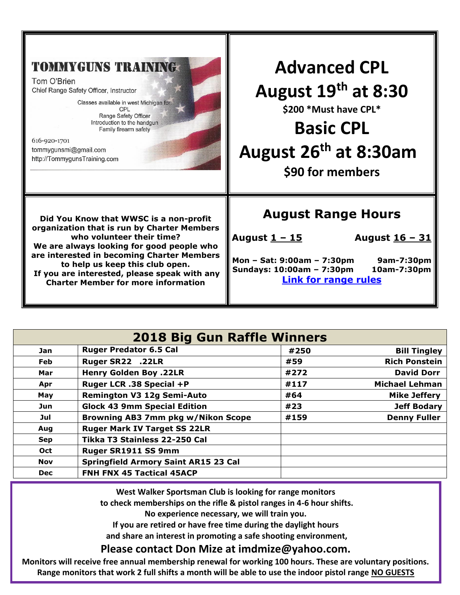| <b>TOMMYGUNS TRAINING</b><br>Tom O'Brien<br>Chief Range Safety Officer, Instructor<br>Classes available in west Michigan for:<br>CPL<br>Range Safety Officer<br>Introduction to the handgun<br>Family firearm safety<br>616-920-1701<br>tommygunsmi@gmail.com<br>http://TommygunsTraining.com | <b>Advanced CPL</b><br>August 19th at 8:30<br>\$200 * Must have CPL*<br><b>Basic CPL</b><br>August 26 <sup>th</sup> at 8:30am<br>\$90 for members |
|-----------------------------------------------------------------------------------------------------------------------------------------------------------------------------------------------------------------------------------------------------------------------------------------------|---------------------------------------------------------------------------------------------------------------------------------------------------|
| Did You Know that WWSC is a non-profit                                                                                                                                                                                                                                                        | <b>August Range Hours</b>                                                                                                                         |
| organization that is run by Charter Members                                                                                                                                                                                                                                                   | August 1 - 15                                                                                                                                     |
| who volunteer their time?                                                                                                                                                                                                                                                                     | August <u>16 - 31</u>                                                                                                                             |
| We are always looking for good people who                                                                                                                                                                                                                                                     | Mon - Sat: 9:00am - 7:30pm                                                                                                                        |
| are interested in becoming Charter Members                                                                                                                                                                                                                                                    | 9am-7:30pm                                                                                                                                        |
| to help us keep this club open.                                                                                                                                                                                                                                                               | Sundays: 10:00am - 7:30pm                                                                                                                         |
| If you are interested, please speak with any                                                                                                                                                                                                                                                  | 10am-7:30pm                                                                                                                                       |
| <b>Charter Member for more information</b>                                                                                                                                                                                                                                                    | <b>Link for range rules</b>                                                                                                                       |

| <b>2018 Big Gun Raffle Winners</b> |                                             |      |                       |  |  |  |
|------------------------------------|---------------------------------------------|------|-----------------------|--|--|--|
| <b>Jan</b>                         | <b>Ruger Predator 6.5 Cal</b>               | #250 | <b>Bill Tingley</b>   |  |  |  |
| Feb                                | Ruger SR22 .22LR                            | #59  | <b>Rich Ponstein</b>  |  |  |  |
| Mar                                | <b>Henry Golden Boy .22LR</b>               | #272 | <b>David Dorr</b>     |  |  |  |
| Apr                                | Ruger LCR .38 Special +P                    | #117 | <b>Michael Lehman</b> |  |  |  |
| May                                | <b>Remington V3 12g Semi-Auto</b>           | #64  | <b>Mike Jeffery</b>   |  |  |  |
| Jun                                | <b>Glock 43 9mm Special Edition</b>         | #23  | <b>Jeff Bodary</b>    |  |  |  |
| Jul                                | Browning AB3 7mm pkg w/Nikon Scope          | #159 | <b>Denny Fuller</b>   |  |  |  |
| Aug                                | <b>Ruger Mark IV Target SS 22LR</b>         |      |                       |  |  |  |
| <b>Sep</b>                         | Tikka T3 Stainless 22-250 Cal               |      |                       |  |  |  |
| Oct                                | Ruger SR1911 SS 9mm                         |      |                       |  |  |  |
| <b>Nov</b>                         | <b>Springfield Armory Saint AR15 23 Cal</b> |      |                       |  |  |  |
| <b>Dec</b>                         | <b>FNH FNX 45 Tactical 45ACP</b>            |      |                       |  |  |  |

**West Walker Sportsman Club is looking for range monitors to check memberships on the rifle & pistol ranges in 4-6 hour shifts.** 

**No experience necessary, we will train you.** 

**If you are retired or have free time during the daylight hours**

**and share an interest in promoting a safe shooting environment,**

#### **Please contact Don Mize at imdmize@yahoo.com.**

**Monitors will receive free annual membership renewal for working 100 hours. These are voluntary positions. Range monitors that work 2 full shifts a month will be able to use the indoor pistol range NO GUESTS**